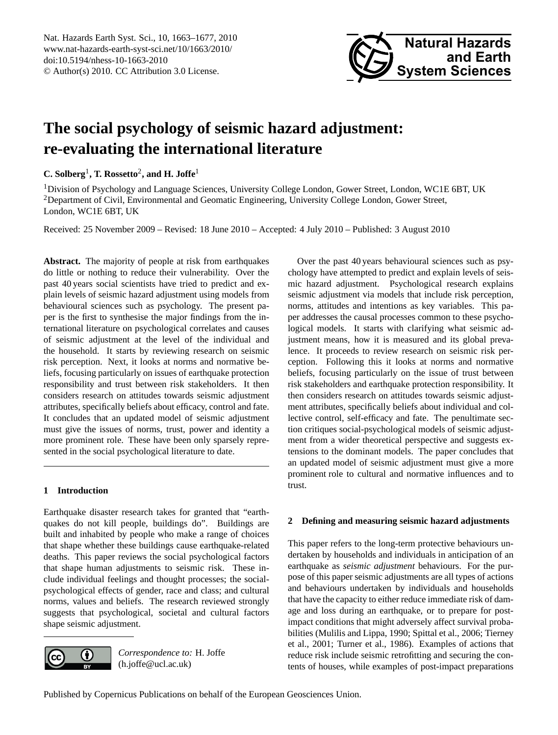<span id="page-0-0"></span>Nat. Hazards Earth Syst. Sci., 10, 1663–1677, 2010 www.nat-hazards-earth-syst-sci.net/10/1663/2010/ doi:10.5194/nhess-10-1663-2010 © Author(s) 2010. CC Attribution 3.0 License.



# **The social psychology of seismic hazard adjustment: re-evaluating the international literature**

**C. Solberg**<sup>1</sup> **, T. Rossetto**<sup>2</sup> **, and H. Joffe**<sup>1</sup>

<sup>1</sup>Division of Psychology and Language Sciences, University College London, Gower Street, London, WC1E 6BT, UK <sup>2</sup>Department of Civil, Environmental and Geomatic Engineering, University College London, Gower Street, London, WC1E 6BT, UK

Received: 25 November 2009 – Revised: 18 June 2010 – Accepted: 4 July 2010 – Published: 3 August 2010

**Abstract.** The majority of people at risk from earthquakes do little or nothing to reduce their vulnerability. Over the past 40 years social scientists have tried to predict and explain levels of seismic hazard adjustment using models from behavioural sciences such as psychology. The present paper is the first to synthesise the major findings from the international literature on psychological correlates and causes of seismic adjustment at the level of the individual and the household. It starts by reviewing research on seismic risk perception. Next, it looks at norms and normative beliefs, focusing particularly on issues of earthquake protection responsibility and trust between risk stakeholders. It then considers research on attitudes towards seismic adjustment attributes, specifically beliefs about efficacy, control and fate. It concludes that an updated model of seismic adjustment must give the issues of norms, trust, power and identity a more prominent role. These have been only sparsely represented in the social psychological literature to date.

# **1 Introduction**

Earthquake disaster research takes for granted that "earthquakes do not kill people, buildings do". Buildings are built and inhabited by people who make a range of choices that shape whether these buildings cause earthquake-related deaths. This paper reviews the social psychological factors that shape human adjustments to seismic risk. These include individual feelings and thought processes; the socialpsychological effects of gender, race and class; and cultural norms, values and beliefs. The research reviewed strongly suggests that psychological, societal and cultural factors shape seismic adjustment.



*Correspondence to:* H. Joffe (h.joffe@ucl.ac.uk)

Over the past 40 years behavioural sciences such as psychology have attempted to predict and explain levels of seismic hazard adjustment. Psychological research explains seismic adjustment via models that include risk perception, norms, attitudes and intentions as key variables. This paper addresses the causal processes common to these psychological models. It starts with clarifying what seismic adjustment means, how it is measured and its global prevalence. It proceeds to review research on seismic risk perception. Following this it looks at norms and normative beliefs, focusing particularly on the issue of trust between risk stakeholders and earthquake protection responsibility. It then considers research on attitudes towards seismic adjustment attributes, specifically beliefs about individual and collective control, self-efficacy and fate. The penultimate section critiques social-psychological models of seismic adjustment from a wider theoretical perspective and suggests extensions to the dominant models. The paper concludes that an updated model of seismic adjustment must give a more prominent role to cultural and normative influences and to trust.

# **2 Defining and measuring seismic hazard adjustments**

This paper refers to the long-term protective behaviours undertaken by households and individuals in anticipation of an earthquake as *seismic adjustment* behaviours. For the purpose of this paper seismic adjustments are all types of actions and behaviours undertaken by individuals and households that have the capacity to either reduce immediate risk of damage and loss during an earthquake, or to prepare for postimpact conditions that might adversely affect survival probabilities (Mulilis and Lippa, 1990; Spittal et al., 2006; Tierney et al., 2001; Turner et al., 1986). Examples of actions that reduce risk include seismic retrofitting and securing the contents of houses, while examples of post-impact preparations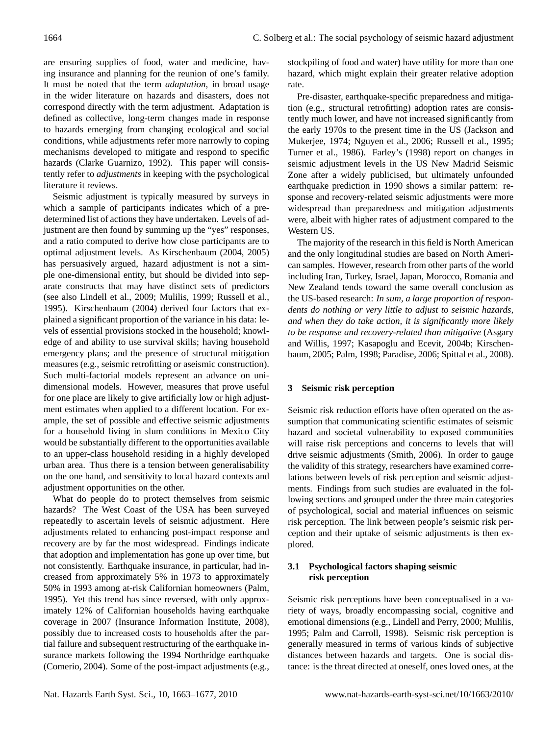are ensuring supplies of food, water and medicine, having insurance and planning for the reunion of one's family. It must be noted that the term *adaptation*, in broad usage in the wider literature on hazards and disasters, does not correspond directly with the term adjustment. Adaptation is defined as collective, long-term changes made in response to hazards emerging from changing ecological and social conditions, while adjustments refer more narrowly to coping mechanisms developed to mitigate and respond to specific hazards (Clarke Guarnizo, 1992). This paper will consistently refer to *adjustments* in keeping with the psychological literature it reviews.

Seismic adjustment is typically measured by surveys in which a sample of participants indicates which of a predetermined list of actions they have undertaken. Levels of adjustment are then found by summing up the "yes" responses, and a ratio computed to derive how close participants are to optimal adjustment levels. As Kirschenbaum (2004, 2005) has persuasively argued, hazard adjustment is not a simple one-dimensional entity, but should be divided into separate constructs that may have distinct sets of predictors (see also Lindell et al., 2009; Mulilis, 1999; Russell et al., 1995). Kirschenbaum (2004) derived four factors that explained a significant proportion of the variance in his data: levels of essential provisions stocked in the household; knowledge of and ability to use survival skills; having household emergency plans; and the presence of structural mitigation measures (e.g., seismic retrofitting or aseismic construction). Such multi-factorial models represent an advance on unidimensional models. However, measures that prove useful for one place are likely to give artificially low or high adjustment estimates when applied to a different location. For example, the set of possible and effective seismic adjustments for a household living in slum conditions in Mexico City would be substantially different to the opportunities available to an upper-class household residing in a highly developed urban area. Thus there is a tension between generalisability on the one hand, and sensitivity to local hazard contexts and adjustment opportunities on the other.

What do people do to protect themselves from seismic hazards? The West Coast of the USA has been surveyed repeatedly to ascertain levels of seismic adjustment. Here adjustments related to enhancing post-impact response and recovery are by far the most widespread. Findings indicate that adoption and implementation has gone up over time, but not consistently. Earthquake insurance, in particular, had increased from approximately 5% in 1973 to approximately 50% in 1993 among at-risk Californian homeowners (Palm, 1995). Yet this trend has since reversed, with only approximately 12% of Californian households having earthquake coverage in 2007 (Insurance Information Institute, 2008), possibly due to increased costs to households after the partial failure and subsequent restructuring of the earthquake insurance markets following the 1994 Northridge earthquake (Comerio, 2004). Some of the post-impact adjustments (e.g.,

stockpiling of food and water) have utility for more than one hazard, which might explain their greater relative adoption rate.

Pre-disaster, earthquake-specific preparedness and mitigation (e.g., structural retrofitting) adoption rates are consistently much lower, and have not increased significantly from the early 1970s to the present time in the US (Jackson and Mukerjee, 1974; Nguyen et al., 2006; Russell et al., 1995; Turner et al., 1986). Farley's (1998) report on changes in seismic adjustment levels in the US New Madrid Seismic Zone after a widely publicised, but ultimately unfounded earthquake prediction in 1990 shows a similar pattern: response and recovery-related seismic adjustments were more widespread than preparedness and mitigation adjustments were, albeit with higher rates of adjustment compared to the Western US.

The majority of the research in this field is North American and the only longitudinal studies are based on North American samples. However, research from other parts of the world including Iran, Turkey, Israel, Japan, Morocco, Romania and New Zealand tends toward the same overall conclusion as the US-based research: *In sum, a large proportion of respondents do nothing or very little to adjust to seismic hazards, and when they do take action, it is significantly more likely to be response and recovery-related than mitigative* (Asgary and Willis, 1997; Kasapoglu and Ecevit, 2004b; Kirschenbaum, 2005; Palm, 1998; Paradise, 2006; Spittal et al., 2008).

#### **3 Seismic risk perception**

Seismic risk reduction efforts have often operated on the assumption that communicating scientific estimates of seismic hazard and societal vulnerability to exposed communities will raise risk perceptions and concerns to levels that will drive seismic adjustments (Smith, 2006). In order to gauge the validity of this strategy, researchers have examined correlations between levels of risk perception and seismic adjustments. Findings from such studies are evaluated in the following sections and grouped under the three main categories of psychological, social and material influences on seismic risk perception. The link between people's seismic risk perception and their uptake of seismic adjustments is then explored.

# **3.1 Psychological factors shaping seismic risk perception**

Seismic risk perceptions have been conceptualised in a variety of ways, broadly encompassing social, cognitive and emotional dimensions (e.g., Lindell and Perry, 2000; Mulilis, 1995; Palm and Carroll, 1998). Seismic risk perception is generally measured in terms of various kinds of subjective distances between hazards and targets. One is social distance: is the threat directed at oneself, ones loved ones, at the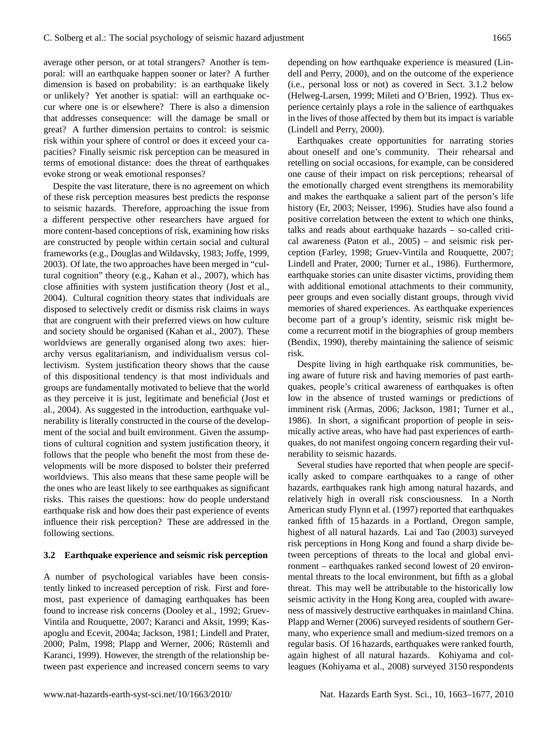average other person, or at total strangers? Another is temporal: will an earthquake happen sooner or later? A further dimension is based on probability: is an earthquake likely or unlikely? Yet another is spatial: will an earthquake occur where one is or elsewhere? There is also a dimension that addresses consequence: will the damage be small or great? A further dimension pertains to control: is seismic risk within your sphere of control or does it exceed your capacities? Finally seismic risk perception can be measured in terms of emotional distance: does the threat of earthquakes evoke strong or weak emotional responses?

Despite the vast literature, there is no agreement on which of these risk perception measures best predicts the response to seismic hazards. Therefore, approaching the issue from a different perspective other researchers have argued for more content-based conceptions of risk, examining how risks are constructed by people within certain social and cultural frameworks (e.g., Douglas and Wildavsky, 1983; Joffe, 1999, 2003). Of late, the two approaches have been merged in "cultural cognition" theory (e.g., Kahan et al., 2007), which has close affinities with system justification theory (Jost et al., 2004). Cultural cognition theory states that individuals are disposed to selectively credit or dismiss risk claims in ways that are congruent with their preferred views on how culture and society should be organised (Kahan et al., 2007). These worldviews are generally organised along two axes: hierarchy versus egalitarianism, and individualism versus collectivism. System justification theory shows that the cause of this dispositional tendency is that most individuals and groups are fundamentally motivated to believe that the world as they perceive it is just, legitimate and beneficial (Jost et al., 2004). As suggested in the introduction, earthquake vulnerability is literally constructed in the course of the development of the social and built environment. Given the assumptions of cultural cognition and system justification theory, it follows that the people who benefit the most from these developments will be more disposed to bolster their preferred worldviews. This also means that these same people will be the ones who are least likely to see earthquakes as significant risks. This raises the questions: how do people understand earthquake risk and how does their past experience of events influence their risk perception? These are addressed in the following sections.

#### **3.2 Earthquake experience and seismic risk perception**

A number of psychological variables have been consistently linked to increased perception of risk. First and foremost, past experience of damaging earthquakes has been found to increase risk concerns (Dooley et al., 1992; Gruev-Vintila and Rouquette, 2007; Karanci and Aksit, 1999; Kasapoglu and Ecevit, 2004a; Jackson, 1981; Lindell and Prater, 2000; Palm, 1998; Plapp and Werner, 2006; Rüstemli and Karanci, 1999). However, the strength of the relationship between past experience and increased concern seems to vary

depending on how earthquake experience is measured (Lindell and Perry, 2000), and on the outcome of the experience (i.e., personal loss or not) as covered in Sect. 3.1.2 below (Helweg-Larsen, 1999; Mileti and O'Brien, 1992). Thus experience certainly plays a role in the salience of earthquakes in the lives of those affected by them but its impact is variable (Lindell and Perry, 2000).

Earthquakes create opportunities for narrating stories about oneself and one's community. Their rehearsal and retelling on social occasions, for example, can be considered one cause of their impact on risk perceptions; rehearsal of the emotionally charged event strengthens its memorability and makes the earthquake a salient part of the person's life history (Er, 2003; Neisser, 1996). Studies have also found a positive correlation between the extent to which one thinks, talks and reads about earthquake hazards – so-called critical awareness (Paton et al., 2005) – and seismic risk perception (Farley, 1998; Gruev-Vintila and Rouquette, 2007; Lindell and Prater, 2000; Turner et al., 1986). Furthermore, earthquake stories can unite disaster victims, providing them with additional emotional attachments to their community, peer groups and even socially distant groups, through vivid memories of shared experiences. As earthquake experiences become part of a group's identity, seismic risk might become a recurrent motif in the biographies of group members (Bendix, 1990), thereby maintaining the salience of seismic risk.

Despite living in high earthquake risk communities, being aware of future risk and having memories of past earthquakes, people's critical awareness of earthquakes is often low in the absence of trusted warnings or predictions of imminent risk (Armas, 2006; Jackson, 1981; Turner et al., 1986). In short, a significant proportion of people in seismically active areas, who have had past experiences of earthquakes, do not manifest ongoing concern regarding their vulnerability to seismic hazards.

Several studies have reported that when people are specifically asked to compare earthquakes to a range of other hazards, earthquakes rank high among natural hazards, and relatively high in overall risk consciousness. In a North American study Flynn et al. (1997) reported that earthquakes ranked fifth of 15 hazards in a Portland, Oregon sample, highest of all natural hazards. Lai and Tao (2003) surveyed risk perceptions in Hong Kong and found a sharp divide between perceptions of threats to the local and global environment – earthquakes ranked second lowest of 20 environmental threats to the local environment, but fifth as a global threat. This may well be attributable to the historically low seismic activity in the Hong Kong area, coupled with awareness of massively destructive earthquakes in mainland China. Plapp and Werner (2006) surveyed residents of southern Germany, who experience small and medium-sized tremors on a regular basis. Of 16 hazards, earthquakes were ranked fourth, again highest of all natural hazards. Kohiyama and colleagues (Kohiyama et al., 2008) surveyed 3150 respondents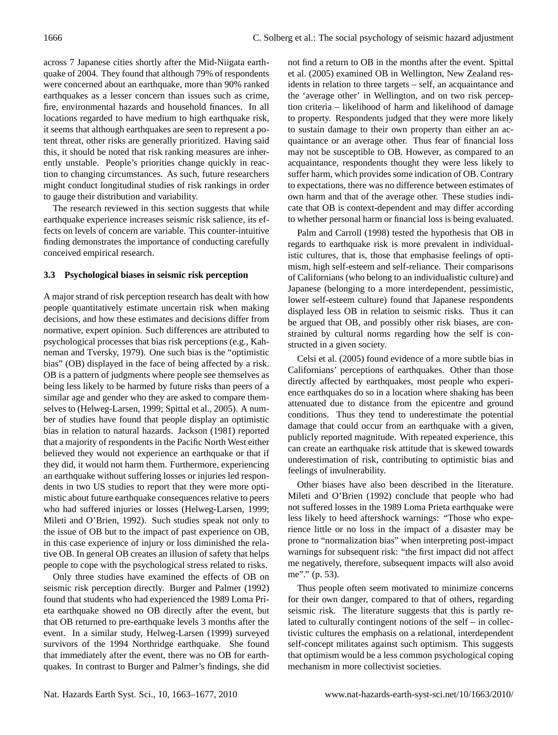across 7 Japanese cities shortly after the Mid-Niigata earthquake of 2004. They found that although 79% of respondents were concerned about an earthquake, more than 90% ranked earthquakes as a lesser concern than issues such as crime, fire, environmental hazards and household finances. In all locations regarded to have medium to high earthquake risk, it seems that although earthquakes are seen to represent a potent threat, other risks are generally prioritized. Having said this, it should be noted that risk ranking measures are inherently unstable. People's priorities change quickly in reaction to changing circumstances. As such, future researchers might conduct longitudinal studies of risk rankings in order to gauge their distribution and variability.

The research reviewed in this section suggests that while earthquake experience increases seismic risk salience, its effects on levels of concern are variable. This counter-intuitive finding demonstrates the importance of conducting carefully conceived empirical research.

## **3.3 Psychological biases in seismic risk perception**

A major strand of risk perception research has dealt with how people quantitatively estimate uncertain risk when making decisions, and how these estimates and decisions differ from normative, expert opinion. Such differences are attributed to psychological processes that bias risk perceptions (e.g., Kahneman and Tversky, 1979). One such bias is the "optimistic bias" (OB) displayed in the face of being affected by a risk. OB is a pattern of judgments where people see themselves as being less likely to be harmed by future risks than peers of a similar age and gender who they are asked to compare themselves to (Helweg-Larsen, 1999; Spittal et al., 2005). A number of studies have found that people display an optimistic bias in relation to natural hazards. Jackson (1981) reported that a majority of respondents in the Pacific North West either believed they would not experience an earthquake or that if they did, it would not harm them. Furthermore, experiencing an earthquake without suffering losses or injuries led respondents in two US studies to report that they were more optimistic about future earthquake consequences relative to peers who had suffered injuries or losses (Helweg-Larsen, 1999; Mileti and O'Brien, 1992). Such studies speak not only to the issue of OB but to the impact of past experience on OB, in this case experience of injury or loss diminished the relative OB. In general OB creates an illusion of safety that helps people to cope with the psychological stress related to risks.

Only three studies have examined the effects of OB on seismic risk perception directly. Burger and Palmer (1992) found that students who had experienced the 1989 Loma Prieta earthquake showed no OB directly after the event, but that OB returned to pre-earthquake levels 3 months after the event. In a similar study, Helweg-Larsen (1999) surveyed survivors of the 1994 Northridge earthquake. She found that immediately after the event, there was no OB for earthquakes. In contrast to Burger and Palmer's findings, she did not find a return to OB in the months after the event. Spittal et al. (2005) examined OB in Wellington, New Zealand residents in relation to three targets – self, an acquaintance and the 'average other' in Wellington, and on two risk perception criteria – likelihood of harm and likelihood of damage to property. Respondents judged that they were more likely to sustain damage to their own property than either an acquaintance or an average other. Thus fear of financial loss may not be susceptible to OB. However, as compared to an acquaintance, respondents thought they were less likely to suffer harm, which provides some indication of OB. Contrary to expectations, there was no difference between estimates of own harm and that of the average other. These studies indicate that OB is context-dependent and may differ according to whether personal harm or financial loss is being evaluated.

Palm and Carroll (1998) tested the hypothesis that OB in regards to earthquake risk is more prevalent in individualistic cultures, that is, those that emphasise feelings of optimism, high self-esteem and self-reliance. Their comparisons of Californians (who belong to an individualistic culture) and Japanese (belonging to a more interdependent, pessimistic, lower self-esteem culture) found that Japanese respondents displayed less OB in relation to seismic risks. Thus it can be argued that OB, and possibly other risk biases, are constrained by cultural norms regarding how the self is constructed in a given society.

Celsi et al. (2005) found evidence of a more subtle bias in Californians' perceptions of earthquakes. Other than those directly affected by earthquakes, most people who experience earthquakes do so in a location where shaking has been attenuated due to distance from the epicentre and ground conditions. Thus they tend to underestimate the potential damage that could occur from an earthquake with a given, publicly reported magnitude. With repeated experience, this can create an earthquake risk attitude that is skewed towards underestimation of risk, contributing to optimistic bias and feelings of invulnerability.

Other biases have also been described in the literature. Mileti and O'Brien (1992) conclude that people who had not suffered losses in the 1989 Loma Prieta earthquake were less likely to heed aftershock warnings: "Those who experience little or no loss in the impact of a disaster may be prone to "normalization bias" when interpreting post-impact warnings for subsequent risk: "the first impact did not affect me negatively, therefore, subsequent impacts will also avoid me"." (p. 53).

Thus people often seem motivated to minimize concerns for their own danger, compared to that of others, regarding seismic risk. The literature suggests that this is partly related to culturally contingent notions of the self – in collectivistic cultures the emphasis on a relational, interdependent self-concept militates against such optimism. This suggests that optimism would be a less common psychological coping mechanism in more collectivist societies.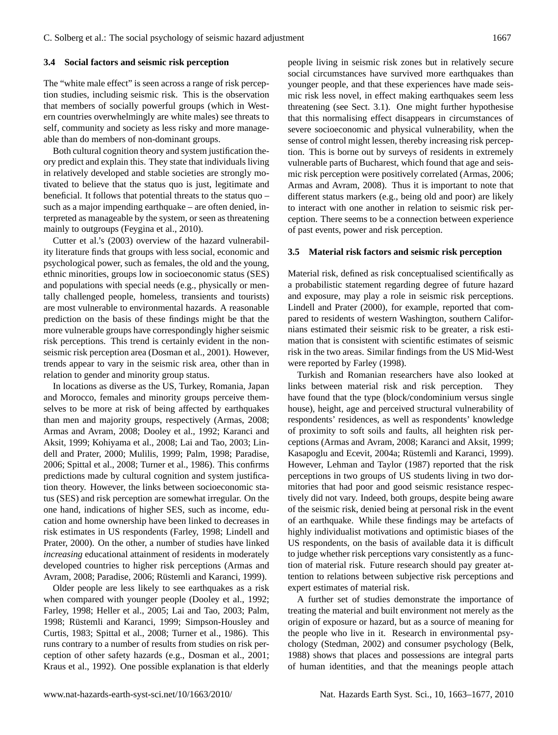#### **3.4 Social factors and seismic risk perception**

The "white male effect" is seen across a range of risk perception studies, including seismic risk. This is the observation that members of socially powerful groups (which in Western countries overwhelmingly are white males) see threats to self, community and society as less risky and more manageable than do members of non-dominant groups.

Both cultural cognition theory and system justification theory predict and explain this. They state that individuals living in relatively developed and stable societies are strongly motivated to believe that the status quo is just, legitimate and beneficial. It follows that potential threats to the status quo – such as a major impending earthquake – are often denied, interpreted as manageable by the system, or seen as threatening mainly to outgroups (Feygina et al., 2010).

Cutter et al.'s (2003) overview of the hazard vulnerability literature finds that groups with less social, economic and psychological power, such as females, the old and the young, ethnic minorities, groups low in socioeconomic status (SES) and populations with special needs (e.g., physically or mentally challenged people, homeless, transients and tourists) are most vulnerable to environmental hazards. A reasonable prediction on the basis of these findings might be that the more vulnerable groups have correspondingly higher seismic risk perceptions. This trend is certainly evident in the nonseismic risk perception area (Dosman et al., 2001). However, trends appear to vary in the seismic risk area, other than in relation to gender and minority group status.

In locations as diverse as the US, Turkey, Romania, Japan and Morocco, females and minority groups perceive themselves to be more at risk of being affected by earthquakes than men and majority groups, respectively (Armas, 2008; Armas and Avram, 2008; Dooley et al., 1992; Karanci and Aksit, 1999; Kohiyama et al., 2008; Lai and Tao, 2003; Lindell and Prater, 2000; Mulilis, 1999; Palm, 1998; Paradise, 2006; Spittal et al., 2008; Turner et al., 1986). This confirms predictions made by cultural cognition and system justification theory. However, the links between socioeconomic status (SES) and risk perception are somewhat irregular. On the one hand, indications of higher SES, such as income, education and home ownership have been linked to decreases in risk estimates in US respondents (Farley, 1998; Lindell and Prater, 2000). On the other, a number of studies have linked *increasing* educational attainment of residents in moderately developed countries to higher risk perceptions (Armas and Avram, 2008; Paradise, 2006; Rüstemli and Karanci, 1999).

Older people are less likely to see earthquakes as a risk when compared with younger people (Dooley et al., 1992; Farley, 1998; Heller et al., 2005; Lai and Tao, 2003; Palm, 1998; Rüstemli and Karanci, 1999; Simpson-Housley and Curtis, 1983; Spittal et al., 2008; Turner et al., 1986). This runs contrary to a number of results from studies on risk perception of other safety hazards (e.g., Dosman et al., 2001; Kraus et al., 1992). One possible explanation is that elderly people living in seismic risk zones but in relatively secure social circumstances have survived more earthquakes than younger people, and that these experiences have made seismic risk less novel, in effect making earthquakes seem less threatening (see Sect. 3.1). One might further hypothesise that this normalising effect disappears in circumstances of severe socioeconomic and physical vulnerability, when the sense of control might lessen, thereby increasing risk perception. This is borne out by surveys of residents in extremely vulnerable parts of Bucharest, which found that age and seismic risk perception were positively correlated (Armas, 2006; Armas and Avram, 2008). Thus it is important to note that different status markers (e.g., being old and poor) are likely to interact with one another in relation to seismic risk perception. There seems to be a connection between experience of past events, power and risk perception.

#### **3.5 Material risk factors and seismic risk perception**

Material risk, defined as risk conceptualised scientifically as a probabilistic statement regarding degree of future hazard and exposure, may play a role in seismic risk perceptions. Lindell and Prater (2000), for example, reported that compared to residents of western Washington, southern Californians estimated their seismic risk to be greater, a risk estimation that is consistent with scientific estimates of seismic risk in the two areas. Similar findings from the US Mid-West were reported by Farley (1998).

Turkish and Romanian researchers have also looked at links between material risk and risk perception. They have found that the type (block/condominium versus single house), height, age and perceived structural vulnerability of respondents' residences, as well as respondents' knowledge of proximity to soft soils and faults, all heighten risk perceptions (Armas and Avram, 2008; Karanci and Aksit, 1999; Kasapoglu and Ecevit, 2004a; Rüstemli and Karanci, 1999). However, Lehman and Taylor (1987) reported that the risk perceptions in two groups of US students living in two dormitories that had poor and good seismic resistance respectively did not vary. Indeed, both groups, despite being aware of the seismic risk, denied being at personal risk in the event of an earthquake. While these findings may be artefacts of highly individualist motivations and optimistic biases of the US respondents, on the basis of available data it is difficult to judge whether risk perceptions vary consistently as a function of material risk. Future research should pay greater attention to relations between subjective risk perceptions and expert estimates of material risk.

A further set of studies demonstrate the importance of treating the material and built environment not merely as the origin of exposure or hazard, but as a source of meaning for the people who live in it. Research in environmental psychology (Stedman, 2002) and consumer psychology (Belk, 1988) shows that places and possessions are integral parts of human identities, and that the meanings people attach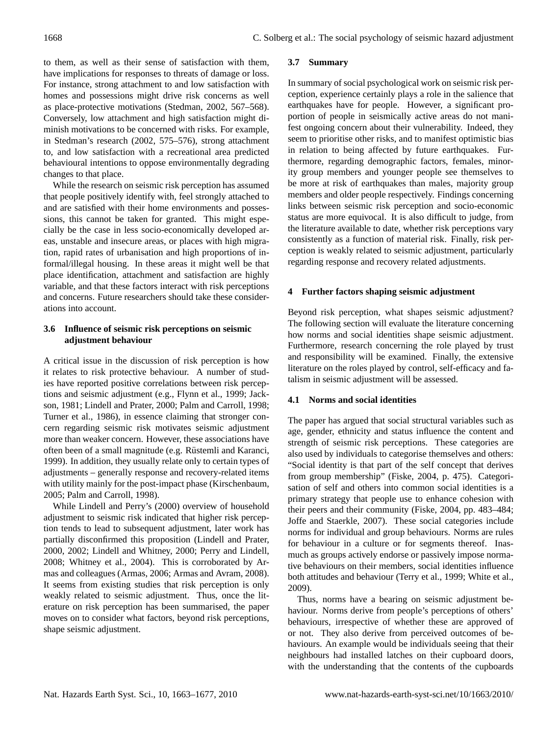to them, as well as their sense of satisfaction with them, have implications for responses to threats of damage or loss. For instance, strong attachment to and low satisfaction with homes and possessions might drive risk concerns as well as place-protective motivations (Stedman, 2002, 567–568). Conversely, low attachment and high satisfaction might diminish motivations to be concerned with risks. For example, in Stedman's research (2002, 575–576), strong attachment to, and low satisfaction with a recreational area predicted behavioural intentions to oppose environmentally degrading changes to that place.

While the research on seismic risk perception has assumed that people positively identify with, feel strongly attached to and are satisfied with their home environments and possessions, this cannot be taken for granted. This might especially be the case in less socio-economically developed areas, unstable and insecure areas, or places with high migration, rapid rates of urbanisation and high proportions of informal/illegal housing. In these areas it might well be that place identification, attachment and satisfaction are highly variable, and that these factors interact with risk perceptions and concerns. Future researchers should take these considerations into account.

# **3.6 Influence of seismic risk perceptions on seismic adjustment behaviour**

A critical issue in the discussion of risk perception is how it relates to risk protective behaviour. A number of studies have reported positive correlations between risk perceptions and seismic adjustment (e.g., Flynn et al., 1999; Jackson, 1981; Lindell and Prater, 2000; Palm and Carroll, 1998; Turner et al., 1986), in essence claiming that stronger concern regarding seismic risk motivates seismic adjustment more than weaker concern. However, these associations have often been of a small magnitude (e.g. Rüstemli and Karanci, 1999). In addition, they usually relate only to certain types of adjustments – generally response and recovery-related items with utility mainly for the post-impact phase (Kirschenbaum, 2005; Palm and Carroll, 1998).

While Lindell and Perry's (2000) overview of household adjustment to seismic risk indicated that higher risk perception tends to lead to subsequent adjustment, later work has partially disconfirmed this proposition (Lindell and Prater, 2000, 2002; Lindell and Whitney, 2000; Perry and Lindell, 2008; Whitney et al., 2004). This is corroborated by Armas and colleagues (Armas, 2006; Armas and Avram, 2008). It seems from existing studies that risk perception is only weakly related to seismic adjustment. Thus, once the literature on risk perception has been summarised, the paper moves on to consider what factors, beyond risk perceptions, shape seismic adjustment.

## **3.7 Summary**

In summary of social psychological work on seismic risk perception, experience certainly plays a role in the salience that earthquakes have for people. However, a significant proportion of people in seismically active areas do not manifest ongoing concern about their vulnerability. Indeed, they seem to prioritise other risks, and to manifest optimistic bias in relation to being affected by future earthquakes. Furthermore, regarding demographic factors, females, minority group members and younger people see themselves to be more at risk of earthquakes than males, majority group members and older people respectively. Findings concerning links between seismic risk perception and socio-economic status are more equivocal. It is also difficult to judge, from the literature available to date, whether risk perceptions vary consistently as a function of material risk. Finally, risk perception is weakly related to seismic adjustment, particularly regarding response and recovery related adjustments.

## **4 Further factors shaping seismic adjustment**

Beyond risk perception, what shapes seismic adjustment? The following section will evaluate the literature concerning how norms and social identities shape seismic adjustment. Furthermore, research concerning the role played by trust and responsibility will be examined. Finally, the extensive literature on the roles played by control, self-efficacy and fatalism in seismic adjustment will be assessed.

## **4.1 Norms and social identities**

The paper has argued that social structural variables such as age, gender, ethnicity and status influence the content and strength of seismic risk perceptions. These categories are also used by individuals to categorise themselves and others: "Social identity is that part of the self concept that derives from group membership" (Fiske, 2004, p. 475). Categorisation of self and others into common social identities is a primary strategy that people use to enhance cohesion with their peers and their community (Fiske, 2004, pp. 483–484; Joffe and Staerkle, 2007). These social categories include norms for individual and group behaviours. Norms are rules for behaviour in a culture or for segments thereof. Inasmuch as groups actively endorse or passively impose normative behaviours on their members, social identities influence both attitudes and behaviour (Terry et al., 1999; White et al., 2009).

Thus, norms have a bearing on seismic adjustment behaviour. Norms derive from people's perceptions of others' behaviours, irrespective of whether these are approved of or not. They also derive from perceived outcomes of behaviours. An example would be individuals seeing that their neighbours had installed latches on their cupboard doors, with the understanding that the contents of the cupboards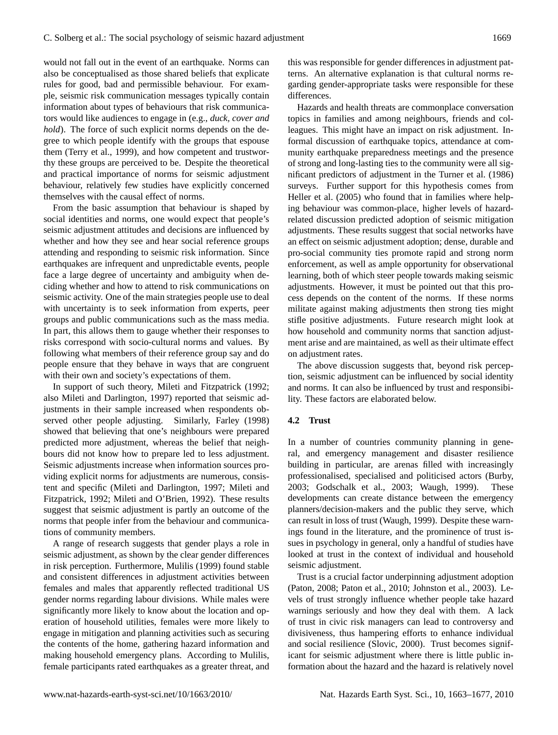would not fall out in the event of an earthquake. Norms can also be conceptualised as those shared beliefs that explicate rules for good, bad and permissible behaviour. For example, seismic risk communication messages typically contain information about types of behaviours that risk communicators would like audiences to engage in (e.g., *duck, cover and hold*). The force of such explicit norms depends on the degree to which people identify with the groups that espouse them (Terry et al., 1999), and how competent and trustworthy these groups are perceived to be. Despite the theoretical and practical importance of norms for seismic adjustment behaviour, relatively few studies have explicitly concerned themselves with the causal effect of norms.

From the basic assumption that behaviour is shaped by social identities and norms, one would expect that people's seismic adjustment attitudes and decisions are influenced by whether and how they see and hear social reference groups attending and responding to seismic risk information. Since earthquakes are infrequent and unpredictable events, people face a large degree of uncertainty and ambiguity when deciding whether and how to attend to risk communications on seismic activity. One of the main strategies people use to deal with uncertainty is to seek information from experts, peer groups and public communications such as the mass media. In part, this allows them to gauge whether their responses to risks correspond with socio-cultural norms and values. By following what members of their reference group say and do people ensure that they behave in ways that are congruent with their own and society's expectations of them.

In support of such theory, Mileti and Fitzpatrick (1992; also Mileti and Darlington, 1997) reported that seismic adjustments in their sample increased when respondents observed other people adjusting. Similarly, Farley (1998) showed that believing that one's neighbours were prepared predicted more adjustment, whereas the belief that neighbours did not know how to prepare led to less adjustment. Seismic adjustments increase when information sources providing explicit norms for adjustments are numerous, consistent and specific (Mileti and Darlington, 1997; Mileti and Fitzpatrick, 1992; Mileti and O'Brien, 1992). These results suggest that seismic adjustment is partly an outcome of the norms that people infer from the behaviour and communications of community members.

A range of research suggests that gender plays a role in seismic adjustment, as shown by the clear gender differences in risk perception. Furthermore, Mulilis (1999) found stable and consistent differences in adjustment activities between females and males that apparently reflected traditional US gender norms regarding labour divisions. While males were significantly more likely to know about the location and operation of household utilities, females were more likely to engage in mitigation and planning activities such as securing the contents of the home, gathering hazard information and making household emergency plans. According to Mulilis, female participants rated earthquakes as a greater threat, and this was responsible for gender differences in adjustment patterns. An alternative explanation is that cultural norms regarding gender-appropriate tasks were responsible for these differences.

Hazards and health threats are commonplace conversation topics in families and among neighbours, friends and colleagues. This might have an impact on risk adjustment. Informal discussion of earthquake topics, attendance at community earthquake preparedness meetings and the presence of strong and long-lasting ties to the community were all significant predictors of adjustment in the Turner et al. (1986) surveys. Further support for this hypothesis comes from Heller et al. (2005) who found that in families where helping behaviour was common-place, higher levels of hazardrelated discussion predicted adoption of seismic mitigation adjustments. These results suggest that social networks have an effect on seismic adjustment adoption; dense, durable and pro-social community ties promote rapid and strong norm enforcement, as well as ample opportunity for observational learning, both of which steer people towards making seismic adjustments. However, it must be pointed out that this process depends on the content of the norms. If these norms militate against making adjustments then strong ties might stifle positive adjustments. Future research might look at how household and community norms that sanction adjustment arise and are maintained, as well as their ultimate effect on adjustment rates.

The above discussion suggests that, beyond risk perception, seismic adjustment can be influenced by social identity and norms. It can also be influenced by trust and responsibility. These factors are elaborated below.

## **4.2 Trust**

In a number of countries community planning in general, and emergency management and disaster resilience building in particular, are arenas filled with increasingly professionalised, specialised and politicised actors (Burby, 2003; Godschalk et al., 2003; Waugh, 1999). These developments can create distance between the emergency planners/decision-makers and the public they serve, which can result in loss of trust (Waugh, 1999). Despite these warnings found in the literature, and the prominence of trust issues in psychology in general, only a handful of studies have looked at trust in the context of individual and household seismic adjustment.

Trust is a crucial factor underpinning adjustment adoption (Paton, 2008; Paton et al., 2010; Johnston et al., 2003). Levels of trust strongly influence whether people take hazard warnings seriously and how they deal with them. A lack of trust in civic risk managers can lead to controversy and divisiveness, thus hampering efforts to enhance individual and social resilience (Slovic, 2000). Trust becomes significant for seismic adjustment where there is little public information about the hazard and the hazard is relatively novel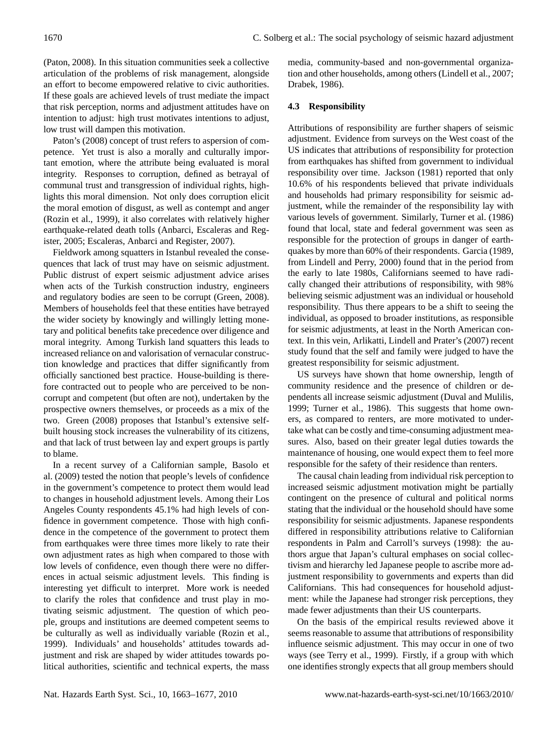(Paton, 2008). In this situation communities seek a collective articulation of the problems of risk management, alongside an effort to become empowered relative to civic authorities. If these goals are achieved levels of trust mediate the impact that risk perception, norms and adjustment attitudes have on intention to adjust: high trust motivates intentions to adjust, low trust will dampen this motivation.

Paton's (2008) concept of trust refers to aspersion of competence. Yet trust is also a morally and culturally important emotion, where the attribute being evaluated is moral integrity. Responses to corruption, defined as betrayal of communal trust and transgression of individual rights, highlights this moral dimension. Not only does corruption elicit the moral emotion of disgust, as well as contempt and anger (Rozin et al., 1999), it also correlates with relatively higher earthquake-related death tolls (Anbarci, Escaleras and Register, 2005; Escaleras, Anbarci and Register, 2007).

Fieldwork among squatters in Istanbul revealed the consequences that lack of trust may have on seismic adjustment. Public distrust of expert seismic adjustment advice arises when acts of the Turkish construction industry, engineers and regulatory bodies are seen to be corrupt (Green, 2008). Members of households feel that these entities have betrayed the wider society by knowingly and willingly letting monetary and political benefits take precedence over diligence and moral integrity. Among Turkish land squatters this leads to increased reliance on and valorisation of vernacular construction knowledge and practices that differ significantly from officially sanctioned best practice. House-building is therefore contracted out to people who are perceived to be noncorrupt and competent (but often are not), undertaken by the prospective owners themselves, or proceeds as a mix of the two. Green (2008) proposes that Istanbul's extensive selfbuilt housing stock increases the vulnerability of its citizens, and that lack of trust between lay and expert groups is partly to blame.

In a recent survey of a Californian sample, Basolo et al. (2009) tested the notion that people's levels of confidence in the government's competence to protect them would lead to changes in household adjustment levels. Among their Los Angeles County respondents 45.1% had high levels of confidence in government competence. Those with high confidence in the competence of the government to protect them from earthquakes were three times more likely to rate their own adjustment rates as high when compared to those with low levels of confidence, even though there were no differences in actual seismic adjustment levels. This finding is interesting yet difficult to interpret. More work is needed to clarify the roles that confidence and trust play in motivating seismic adjustment. The question of which people, groups and institutions are deemed competent seems to be culturally as well as individually variable (Rozin et al., 1999). Individuals' and households' attitudes towards adjustment and risk are shaped by wider attitudes towards political authorities, scientific and technical experts, the mass media, community-based and non-governmental organization and other households, among others (Lindell et al., 2007; Drabek, 1986).

#### **4.3 Responsibility**

Attributions of responsibility are further shapers of seismic adjustment. Evidence from surveys on the West coast of the US indicates that attributions of responsibility for protection from earthquakes has shifted from government to individual responsibility over time. Jackson (1981) reported that only 10.6% of his respondents believed that private individuals and households had primary responsibility for seismic adjustment, while the remainder of the responsibility lay with various levels of government. Similarly, Turner et al. (1986) found that local, state and federal government was seen as responsible for the protection of groups in danger of earthquakes by more than 60% of their respondents. Garcia (1989, from Lindell and Perry, 2000) found that in the period from the early to late 1980s, Californians seemed to have radically changed their attributions of responsibility, with 98% believing seismic adjustment was an individual or household responsibility. Thus there appears to be a shift to seeing the individual, as opposed to broader institutions, as responsible for seismic adjustments, at least in the North American context. In this vein, Arlikatti, Lindell and Prater's (2007) recent study found that the self and family were judged to have the greatest responsibility for seismic adjustment.

US surveys have shown that home ownership, length of community residence and the presence of children or dependents all increase seismic adjustment (Duval and Mulilis, 1999; Turner et al., 1986). This suggests that home owners, as compared to renters, are more motivated to undertake what can be costly and time-consuming adjustment measures. Also, based on their greater legal duties towards the maintenance of housing, one would expect them to feel more responsible for the safety of their residence than renters.

The causal chain leading from individual risk perception to increased seismic adjustment motivation might be partially contingent on the presence of cultural and political norms stating that the individual or the household should have some responsibility for seismic adjustments. Japanese respondents differed in responsibility attributions relative to Californian respondents in Palm and Carroll's surveys (1998): the authors argue that Japan's cultural emphases on social collectivism and hierarchy led Japanese people to ascribe more adjustment responsibility to governments and experts than did Californians. This had consequences for household adjustment: while the Japanese had stronger risk perceptions, they made fewer adjustments than their US counterparts.

On the basis of the empirical results reviewed above it seems reasonable to assume that attributions of responsibility influence seismic adjustment. This may occur in one of two ways (see Terry et al., 1999). Firstly, if a group with which one identifies strongly expects that all group members should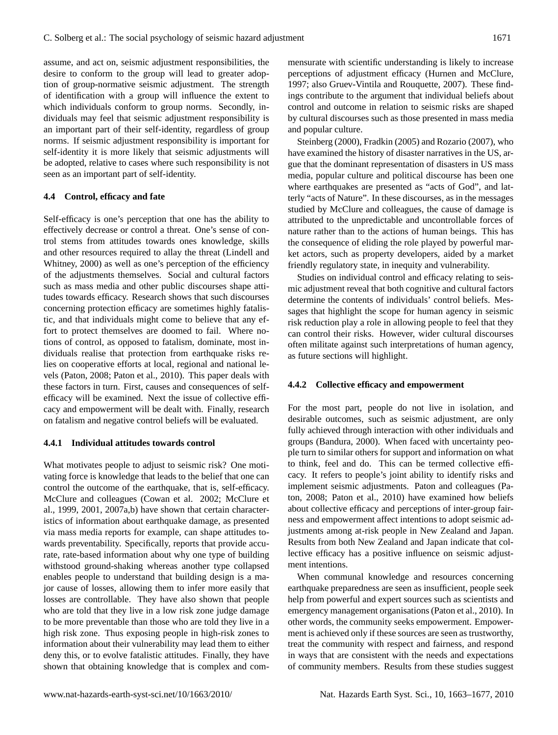assume, and act on, seismic adjustment responsibilities, the desire to conform to the group will lead to greater adoption of group-normative seismic adjustment. The strength of identification with a group will influence the extent to which individuals conform to group norms. Secondly, individuals may feel that seismic adjustment responsibility is an important part of their self-identity, regardless of group norms. If seismic adjustment responsibility is important for self-identity it is more likely that seismic adjustments will be adopted, relative to cases where such responsibility is not seen as an important part of self-identity.

## **4.4 Control, efficacy and fate**

Self-efficacy is one's perception that one has the ability to effectively decrease or control a threat. One's sense of control stems from attitudes towards ones knowledge, skills and other resources required to allay the threat (Lindell and Whitney, 2000) as well as one's perception of the efficiency of the adjustments themselves. Social and cultural factors such as mass media and other public discourses shape attitudes towards efficacy. Research shows that such discourses concerning protection efficacy are sometimes highly fatalistic, and that individuals might come to believe that any effort to protect themselves are doomed to fail. Where notions of control, as opposed to fatalism, dominate, most individuals realise that protection from earthquake risks relies on cooperative efforts at local, regional and national levels (Paton, 2008; Paton et al., 2010). This paper deals with these factors in turn. First, causes and consequences of selfefficacy will be examined. Next the issue of collective efficacy and empowerment will be dealt with. Finally, research on fatalism and negative control beliefs will be evaluated.

## **4.4.1 Individual attitudes towards control**

What motivates people to adjust to seismic risk? One motivating force is knowledge that leads to the belief that one can control the outcome of the earthquake, that is, self-efficacy. McClure and colleagues (Cowan et al. 2002; McClure et al., 1999, 2001, 2007a,b) have shown that certain characteristics of information about earthquake damage, as presented via mass media reports for example, can shape attitudes towards preventability. Specifically, reports that provide accurate, rate-based information about why one type of building withstood ground-shaking whereas another type collapsed enables people to understand that building design is a major cause of losses, allowing them to infer more easily that losses are controllable. They have also shown that people who are told that they live in a low risk zone judge damage to be more preventable than those who are told they live in a high risk zone. Thus exposing people in high-risk zones to information about their vulnerability may lead them to either deny this, or to evolve fatalistic attitudes. Finally, they have shown that obtaining knowledge that is complex and commensurate with scientific understanding is likely to increase perceptions of adjustment efficacy (Hurnen and McClure, 1997; also Gruev-Vintila and Rouquette, 2007). These findings contribute to the argument that individual beliefs about control and outcome in relation to seismic risks are shaped by cultural discourses such as those presented in mass media and popular culture.

Steinberg (2000), Fradkin (2005) and Rozario (2007), who have examined the history of disaster narratives in the US, argue that the dominant representation of disasters in US mass media, popular culture and political discourse has been one where earthquakes are presented as "acts of God", and latterly "acts of Nature". In these discourses, as in the messages studied by McClure and colleagues, the cause of damage is attributed to the unpredictable and uncontrollable forces of nature rather than to the actions of human beings. This has the consequence of eliding the role played by powerful market actors, such as property developers, aided by a market friendly regulatory state, in inequity and vulnerability.

Studies on individual control and efficacy relating to seismic adjustment reveal that both cognitive and cultural factors determine the contents of individuals' control beliefs. Messages that highlight the scope for human agency in seismic risk reduction play a role in allowing people to feel that they can control their risks. However, wider cultural discourses often militate against such interpretations of human agency, as future sections will highlight.

#### **4.4.2 Collective efficacy and empowerment**

For the most part, people do not live in isolation, and desirable outcomes, such as seismic adjustment, are only fully achieved through interaction with other individuals and groups (Bandura, 2000). When faced with uncertainty people turn to similar others for support and information on what to think, feel and do. This can be termed collective efficacy. It refers to people's joint ability to identify risks and implement seismic adjustments. Paton and colleagues (Paton, 2008; Paton et al., 2010) have examined how beliefs about collective efficacy and perceptions of inter-group fairness and empowerment affect intentions to adopt seismic adjustments among at-risk people in New Zealand and Japan. Results from both New Zealand and Japan indicate that collective efficacy has a positive influence on seismic adjustment intentions.

When communal knowledge and resources concerning earthquake preparedness are seen as insufficient, people seek help from powerful and expert sources such as scientists and emergency management organisations (Paton et al., 2010). In other words, the community seeks empowerment. Empowerment is achieved only if these sources are seen as trustworthy, treat the community with respect and fairness, and respond in ways that are consistent with the needs and expectations of community members. Results from these studies suggest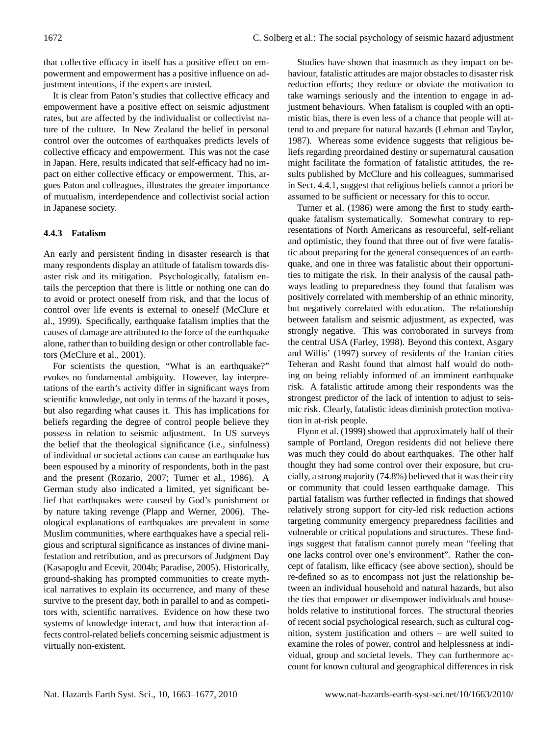that collective efficacy in itself has a positive effect on empowerment and empowerment has a positive influence on adjustment intentions, if the experts are trusted.

It is clear from Paton's studies that collective efficacy and empowerment have a positive effect on seismic adjustment rates, but are affected by the individualist or collectivist nature of the culture. In New Zealand the belief in personal control over the outcomes of earthquakes predicts levels of collective efficacy and empowerment. This was not the case in Japan. Here, results indicated that self-efficacy had no impact on either collective efficacy or empowerment. This, argues Paton and colleagues, illustrates the greater importance of mutualism, interdependence and collectivist social action in Japanese society.

## **4.4.3 Fatalism**

An early and persistent finding in disaster research is that many respondents display an attitude of fatalism towards disaster risk and its mitigation. Psychologically, fatalism entails the perception that there is little or nothing one can do to avoid or protect oneself from risk, and that the locus of control over life events is external to oneself (McClure et al., 1999). Specifically, earthquake fatalism implies that the causes of damage are attributed to the force of the earthquake alone, rather than to building design or other controllable factors (McClure et al., 2001).

For scientists the question, "What is an earthquake?" evokes no fundamental ambiguity. However, lay interpretations of the earth's activity differ in significant ways from scientific knowledge, not only in terms of the hazard it poses, but also regarding what causes it. This has implications for beliefs regarding the degree of control people believe they possess in relation to seismic adjustment. In US surveys the belief that the theological significance (i.e., sinfulness) of individual or societal actions can cause an earthquake has been espoused by a minority of respondents, both in the past and the present (Rozario, 2007; Turner et al., 1986). A German study also indicated a limited, yet significant belief that earthquakes were caused by God's punishment or by nature taking revenge (Plapp and Werner, 2006). Theological explanations of earthquakes are prevalent in some Muslim communities, where earthquakes have a special religious and scriptural significance as instances of divine manifestation and retribution, and as precursors of Judgment Day (Kasapoglu and Ecevit, 2004b; Paradise, 2005). Historically, ground-shaking has prompted communities to create mythical narratives to explain its occurrence, and many of these survive to the present day, both in parallel to and as competitors with, scientific narratives. Evidence on how these two systems of knowledge interact, and how that interaction affects control-related beliefs concerning seismic adjustment is virtually non-existent.

Studies have shown that inasmuch as they impact on behaviour, fatalistic attitudes are major obstacles to disaster risk reduction efforts; they reduce or obviate the motivation to take warnings seriously and the intention to engage in adjustment behaviours. When fatalism is coupled with an optimistic bias, there is even less of a chance that people will attend to and prepare for natural hazards (Lehman and Taylor, 1987). Whereas some evidence suggests that religious beliefs regarding preordained destiny or supernatural causation might facilitate the formation of fatalistic attitudes, the results published by McClure and his colleagues, summarised in Sect. 4.4.1, suggest that religious beliefs cannot a priori be assumed to be sufficient or necessary for this to occur.

Turner et al. (1986) were among the first to study earthquake fatalism systematically. Somewhat contrary to representations of North Americans as resourceful, self-reliant and optimistic, they found that three out of five were fatalistic about preparing for the general consequences of an earthquake, and one in three was fatalistic about their opportunities to mitigate the risk. In their analysis of the causal pathways leading to preparedness they found that fatalism was positively correlated with membership of an ethnic minority, but negatively correlated with education. The relationship between fatalism and seismic adjustment, as expected, was strongly negative. This was corroborated in surveys from the central USA (Farley, 1998). Beyond this context, Asgary and Willis' (1997) survey of residents of the Iranian cities Teheran and Rasht found that almost half would do nothing on being reliably informed of an imminent earthquake risk. A fatalistic attitude among their respondents was the strongest predictor of the lack of intention to adjust to seismic risk. Clearly, fatalistic ideas diminish protection motivation in at-risk people.

Flynn et al. (1999) showed that approximately half of their sample of Portland, Oregon residents did not believe there was much they could do about earthquakes. The other half thought they had some control over their exposure, but crucially, a strong majority (74.8%) believed that it was their city or community that could lessen earthquake damage. This partial fatalism was further reflected in findings that showed relatively strong support for city-led risk reduction actions targeting community emergency preparedness facilities and vulnerable or critical populations and structures. These findings suggest that fatalism cannot purely mean "feeling that one lacks control over one's environment". Rather the concept of fatalism, like efficacy (see above section), should be re-defined so as to encompass not just the relationship between an individual household and natural hazards, but also the ties that empower or disempower individuals and households relative to institutional forces. The structural theories of recent social psychological research, such as cultural cognition, system justification and others – are well suited to examine the roles of power, control and helplessness at individual, group and societal levels. They can furthermore account for known cultural and geographical differences in risk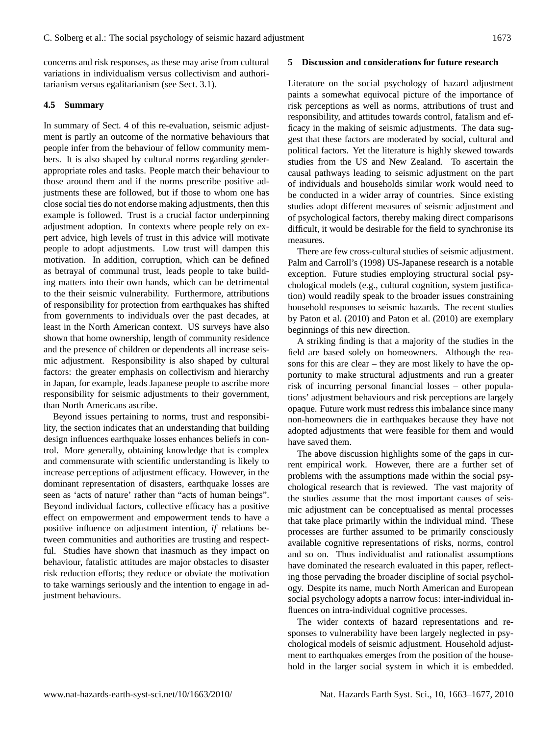concerns and risk responses, as these may arise from cultural variations in individualism versus collectivism and authoritarianism versus egalitarianism (see Sect. 3.1).

## **4.5 Summary**

In summary of Sect. 4 of this re-evaluation, seismic adjustment is partly an outcome of the normative behaviours that people infer from the behaviour of fellow community members. It is also shaped by cultural norms regarding genderappropriate roles and tasks. People match their behaviour to those around them and if the norms prescribe positive adjustments these are followed, but if those to whom one has close social ties do not endorse making adjustments, then this example is followed. Trust is a crucial factor underpinning adjustment adoption. In contexts where people rely on expert advice, high levels of trust in this advice will motivate people to adopt adjustments. Low trust will dampen this motivation. In addition, corruption, which can be defined as betrayal of communal trust, leads people to take building matters into their own hands, which can be detrimental to the their seismic vulnerability. Furthermore, attributions of responsibility for protection from earthquakes has shifted from governments to individuals over the past decades, at least in the North American context. US surveys have also shown that home ownership, length of community residence and the presence of children or dependents all increase seismic adjustment. Responsibility is also shaped by cultural factors: the greater emphasis on collectivism and hierarchy in Japan, for example, leads Japanese people to ascribe more responsibility for seismic adjustments to their government, than North Americans ascribe.

Beyond issues pertaining to norms, trust and responsibility, the section indicates that an understanding that building design influences earthquake losses enhances beliefs in control. More generally, obtaining knowledge that is complex and commensurate with scientific understanding is likely to increase perceptions of adjustment efficacy. However, in the dominant representation of disasters, earthquake losses are seen as 'acts of nature' rather than "acts of human beings". Beyond individual factors, collective efficacy has a positive effect on empowerment and empowerment tends to have a positive influence on adjustment intention, *if* relations between communities and authorities are trusting and respectful. Studies have shown that inasmuch as they impact on behaviour, fatalistic attitudes are major obstacles to disaster risk reduction efforts; they reduce or obviate the motivation to take warnings seriously and the intention to engage in adjustment behaviours.

#### **5 Discussion and considerations for future research**

Literature on the social psychology of hazard adjustment paints a somewhat equivocal picture of the importance of risk perceptions as well as norms, attributions of trust and responsibility, and attitudes towards control, fatalism and efficacy in the making of seismic adjustments. The data suggest that these factors are moderated by social, cultural and political factors. Yet the literature is highly skewed towards studies from the US and New Zealand. To ascertain the causal pathways leading to seismic adjustment on the part of individuals and households similar work would need to be conducted in a wider array of countries. Since existing studies adopt different measures of seismic adjustment and of psychological factors, thereby making direct comparisons difficult, it would be desirable for the field to synchronise its measures.

There are few cross-cultural studies of seismic adjustment. Palm and Carroll's (1998) US-Japanese research is a notable exception. Future studies employing structural social psychological models (e.g., cultural cognition, system justification) would readily speak to the broader issues constraining household responses to seismic hazards. The recent studies by Paton et al. (2010) and Paton et al. (2010) are exemplary beginnings of this new direction.

A striking finding is that a majority of the studies in the field are based solely on homeowners. Although the reasons for this are clear – they are most likely to have the opportunity to make structural adjustments and run a greater risk of incurring personal financial losses – other populations' adjustment behaviours and risk perceptions are largely opaque. Future work must redress this imbalance since many non-homeowners die in earthquakes because they have not adopted adjustments that were feasible for them and would have saved them.

The above discussion highlights some of the gaps in current empirical work. However, there are a further set of problems with the assumptions made within the social psychological research that is reviewed. The vast majority of the studies assume that the most important causes of seismic adjustment can be conceptualised as mental processes that take place primarily within the individual mind. These processes are further assumed to be primarily consciously available cognitive representations of risks, norms, control and so on. Thus individualist and rationalist assumptions have dominated the research evaluated in this paper, reflecting those pervading the broader discipline of social psychology. Despite its name, much North American and European social psychology adopts a narrow focus: inter-individual influences on intra-individual cognitive processes.

The wider contexts of hazard representations and responses to vulnerability have been largely neglected in psychological models of seismic adjustment. Household adjustment to earthquakes emerges from the position of the household in the larger social system in which it is embedded.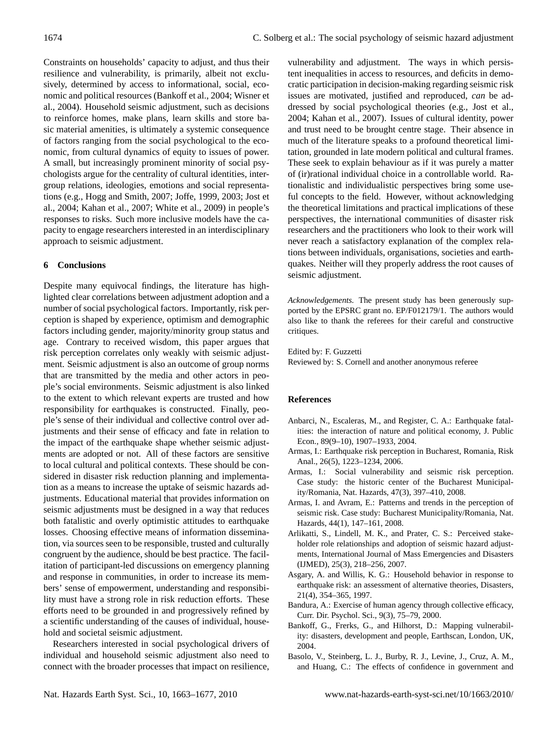Constraints on households' capacity to adjust, and thus their resilience and vulnerability, is primarily, albeit not exclusively, determined by access to informational, social, economic and political resources (Bankoff et al., 2004; Wisner et al., 2004). Household seismic adjustment, such as decisions to reinforce homes, make plans, learn skills and store basic material amenities, is ultimately a systemic consequence of factors ranging from the social psychological to the economic, from cultural dynamics of equity to issues of power. A small, but increasingly prominent minority of social psychologists argue for the centrality of cultural identities, intergroup relations, ideologies, emotions and social representations (e.g., Hogg and Smith, 2007; Joffe, 1999, 2003; Jost et al., 2004; Kahan et al., 2007; White et al., 2009) in people's responses to risks. Such more inclusive models have the capacity to engage researchers interested in an interdisciplinary approach to seismic adjustment.

## **6 Conclusions**

Despite many equivocal findings, the literature has highlighted clear correlations between adjustment adoption and a number of social psychological factors. Importantly, risk perception is shaped by experience, optimism and demographic factors including gender, majority/minority group status and age. Contrary to received wisdom, this paper argues that risk perception correlates only weakly with seismic adjustment. Seismic adjustment is also an outcome of group norms that are transmitted by the media and other actors in people's social environments. Seismic adjustment is also linked to the extent to which relevant experts are trusted and how responsibility for earthquakes is constructed. Finally, people's sense of their individual and collective control over adjustments and their sense of efficacy and fate in relation to the impact of the earthquake shape whether seismic adjustments are adopted or not. All of these factors are sensitive to local cultural and political contexts. These should be considered in disaster risk reduction planning and implementation as a means to increase the uptake of seismic hazards adjustments. Educational material that provides information on seismic adjustments must be designed in a way that reduces both fatalistic and overly optimistic attitudes to earthquake losses. Choosing effective means of information dissemination, via sources seen to be responsible, trusted and culturally congruent by the audience, should be best practice. The facilitation of participant-led discussions on emergency planning and response in communities, in order to increase its members' sense of empowerment, understanding and responsibility must have a strong role in risk reduction efforts. These efforts need to be grounded in and progressively refined by a scientific understanding of the causes of individual, household and societal seismic adjustment.

Researchers interested in social psychological drivers of individual and household seismic adjustment also need to connect with the broader processes that impact on resilience,

vulnerability and adjustment. The ways in which persistent inequalities in access to resources, and deficits in democratic participation in decision-making regarding seismic risk issues are motivated, justified and reproduced, *can* be addressed by social psychological theories (e.g., Jost et al., 2004; Kahan et al., 2007). Issues of cultural identity, power and trust need to be brought centre stage. Their absence in much of the literature speaks to a profound theoretical limitation, grounded in late modern political and cultural frames. These seek to explain behaviour as if it was purely a matter of (ir)rational individual choice in a controllable world. Rationalistic and individualistic perspectives bring some useful concepts to the field. However, without acknowledging the theoretical limitations and practical implications of these perspectives, the international communities of disaster risk researchers and the practitioners who look to their work will never reach a satisfactory explanation of the complex relations between individuals, organisations, societies and earthquakes. Neither will they properly address the root causes of seismic adjustment.

*Acknowledgements.* The present study has been generously supported by the EPSRC grant no. EP/F012179/1. The authors would also like to thank the referees for their careful and constructive critiques.

Edited by: F. Guzzetti

Reviewed by: S. Cornell and another anonymous referee

#### **References**

- Anbarci, N., Escaleras, M., and Register, C. A.: Earthquake fatalities: the interaction of nature and political economy, J. Public Econ., 89(9–10), 1907–1933, 2004.
- Armas, I.: Earthquake risk perception in Bucharest, Romania, Risk Anal., 26(5), 1223–1234, 2006.
- Armas, I.: Social vulnerability and seismic risk perception. Case study: the historic center of the Bucharest Municipality/Romania, Nat. Hazards, 47(3), 397–410, 2008.
- Armas, I. and Avram, E.: Patterns and trends in the perception of seismic risk. Case study: Bucharest Municipality/Romania, Nat. Hazards, 44(1), 147–161, 2008.
- Arlikatti, S., Lindell, M. K., and Prater, C. S.: Perceived stakeholder role relationships and adoption of seismic hazard adjustments, International Journal of Mass Emergencies and Disasters (IJMED), 25(3), 218–256, 2007.
- Asgary, A. and Willis, K. G.: Household behavior in response to earthquake risk: an assessment of alternative theories, Disasters, 21(4), 354–365, 1997.
- Bandura, A.: Exercise of human agency through collective efficacy, Curr. Dir. Psychol. Sci., 9(3), 75–79, 2000.
- Bankoff, G., Frerks, G., and Hilhorst, D.: Mapping vulnerability: disasters, development and people, Earthscan, London, UK, 2004.
- Basolo, V., Steinberg, L. J., Burby, R. J., Levine, J., Cruz, A. M., and Huang, C.: The effects of confidence in government and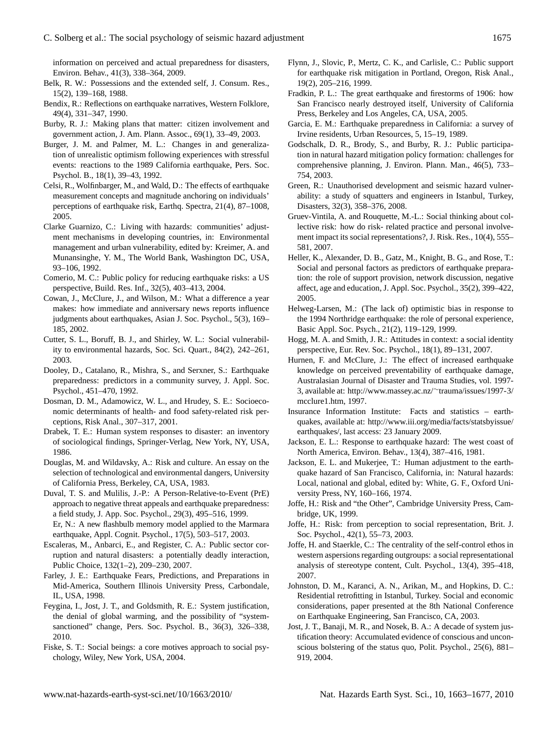information on perceived and actual preparedness for disasters, Environ. Behav., 41(3), 338–364, 2009.

- Belk, R. W.: Possessions and the extended self, J. Consum. Res., 15(2), 139–168, 1988.
- Bendix, R.: Reflections on earthquake narratives, Western Folklore, 49(4), 331–347, 1990.
- Burby, R. J.: Making plans that matter: citizen involvement and government action, J. Am. Plann. Assoc., 69(1), 33–49, 2003.
- Burger, J. M. and Palmer, M. L.: Changes in and generalization of unrealistic optimism following experiences with stressful events: reactions to the 1989 California earthquake, Pers. Soc. Psychol. B., 18(1), 39–43, 1992.
- Celsi, R., Wolfinbarger, M., and Wald, D.: The effects of earthquake measurement concepts and magnitude anchoring on individuals' perceptions of earthquake risk, Earthq. Spectra, 21(4), 87–1008, 2005.
- Clarke Guarnizo, C.: Living with hazards: communities' adjustment mechanisms in developing countries, in: Environmental management and urban vulnerability, edited by: Kreimer, A. and Munansinghe, Y. M., The World Bank, Washington DC, USA, 93–106, 1992.
- Comerio, M. C.: Public policy for reducing earthquake risks: a US perspective, Build. Res. Inf., 32(5), 403–413, 2004.
- Cowan, J., McClure, J., and Wilson, M.: What a difference a year makes: how immediate and anniversary news reports influence judgments about earthquakes, Asian J. Soc. Psychol., 5(3), 169– 185, 2002.
- Cutter, S. L., Boruff, B. J., and Shirley, W. L.: Social vulnerability to environmental hazards, Soc. Sci. Quart., 84(2), 242–261, 2003.
- Dooley, D., Catalano, R., Mishra, S., and Serxner, S.: Earthquake preparedness: predictors in a community survey, J. Appl. Soc. Psychol., 451–470, 1992.
- Dosman, D. M., Adamowicz, W. L., and Hrudey, S. E.: Socioeconomic determinants of health- and food safety-related risk perceptions, Risk Anal., 307–317, 2001.
- Drabek, T. E.: Human system responses to disaster: an inventory of sociological findings, Springer-Verlag, New York, NY, USA, 1986.
- Douglas, M. and Wildavsky, A.: Risk and culture. An essay on the selection of technological and environmental dangers, University of California Press, Berkeley, CA, USA, 1983.
- Duval, T. S. and Mulilis, J.-P.: A Person-Relative-to-Event (PrE) approach to negative threat appeals and earthquake preparedness: a field study, J. App. Soc. Psychol., 29(3), 495–516, 1999. Er, N.: A new flashbulb memory model applied to the Marmara earthquake, Appl. Cognit. Psychol., 17(5), 503–517, 2003.
- Escaleras, M., Anbarci, E., and Register, C. A.: Public sector corruption and natural disasters: a potentially deadly interaction, Public Choice, 132(1–2), 209–230, 2007.
- Farley, J. E.: Earthquake Fears, Predictions, and Preparations in Mid-America, Southern Illinois University Press, Carbondale, IL, USA, 1998.
- Feygina, I., Jost, J. T., and Goldsmith, R. E.: System justification, the denial of global warming, and the possibility of "systemsanctioned" change, Pers. Soc. Psychol. B., 36(3), 326-338, 2010.
- Fiske, S. T.: Social beings: a core motives approach to social psychology, Wiley, New York, USA, 2004.
- Flynn, J., Slovic, P., Mertz, C. K., and Carlisle, C.: Public support for earthquake risk mitigation in Portland, Oregon, Risk Anal., 19(2), 205–216, 1999.
- Fradkin, P. L.: The great earthquake and firestorms of 1906: how San Francisco nearly destroyed itself, University of California Press, Berkeley and Los Angeles, CA, USA, 2005.
- Garcia, E. M.: Earthquake preparedness in California: a survey of Irvine residents, Urban Resources, 5, 15–19, 1989.
- Godschalk, D. R., Brody, S., and Burby, R. J.: Public participation in natural hazard mitigation policy formation: challenges for comprehensive planning, J. Environ. Plann. Man., 46(5), 733– 754, 2003.
- Green, R.: Unauthorised development and seismic hazard vulnerability: a study of squatters and engineers in Istanbul, Turkey, Disasters, 32(3), 358–376, 2008.
- Gruev-Vintila, A. and Rouquette, M.-L.: Social thinking about collective risk: how do risk- related practice and personal involvement impact its social representations?, J. Risk. Res., 10(4), 555– 581, 2007.
- Heller, K., Alexander, D. B., Gatz, M., Knight, B. G., and Rose, T.: Social and personal factors as predictors of earthquake preparation: the role of support provision, network discussion, negative affect, age and education, J. Appl. Soc. Psychol., 35(2), 399–422, 2005.
- Helweg-Larsen, M.: (The lack of) optimistic bias in response to the 1994 Northridge earthquake: the role of personal experience, Basic Appl. Soc. Psych., 21(2), 119–129, 1999.
- Hogg, M. A. and Smith, J. R.: Attitudes in context: a social identity perspective, Eur. Rev. Soc. Psychol., 18(1), 89–131, 2007.
- Hurnen, F. and McClure, J.: The effect of increased earthquake knowledge on perceived preventability of earthquake damage, Australasian Journal of Disaster and Trauma Studies, vol. 1997- 3, available at: [http://www.massey.ac.nz/](http://www.massey.ac.nz/~trauma/issues/1997-3/mcclure1.htm)∼trauma/issues/1997-3/ [mcclure1.htm,](http://www.massey.ac.nz/~trauma/issues/1997-3/mcclure1.htm) 1997.
- Insurance Information Institute: Facts and statistics earthquakes, available at: [http://www.iii.org/media/facts/statsbyissue/](http://www.iii.org/media/facts/statsbyissue/earthquakes/) [earthquakes/,](http://www.iii.org/media/facts/statsbyissue/earthquakes/) last access: 23 January 2009.
- Jackson, E. L.: Response to earthquake hazard: The west coast of North America, Environ. Behav., 13(4), 387–416, 1981.
- Jackson, E. L. and Mukerjee, T.: Human adjustment to the earthquake hazard of San Francisco, California, in: Natural hazards: Local, national and global, edited by: White, G. F., Oxford University Press, NY, 160–166, 1974.
- Joffe, H.: Risk and "the Other", Cambridge University Press, Cambridge, UK, 1999.
- Joffe, H.: Risk: from perception to social representation, Brit. J. Soc. Psychol., 42(1), 55–73, 2003.
- Joffe, H. and Staerkle, C.: The centrality of the self-control ethos in western aspersions regarding outgroups: a social representational analysis of stereotype content, Cult. Psychol., 13(4), 395–418, 2007.
- Johnston, D. M., Karanci, A. N., Arikan, M., and Hopkins, D. C.: Residential retrofitting in Istanbul, Turkey. Social and economic considerations, paper presented at the 8th National Conference on Earthquake Engineering, San Francisco, CA, 2003.
- Jost, J. T., Banaji, M. R., and Nosek, B. A.: A decade of system justification theory: Accumulated evidence of conscious and unconscious bolstering of the status quo, Polit. Psychol., 25(6), 881– 919, 2004.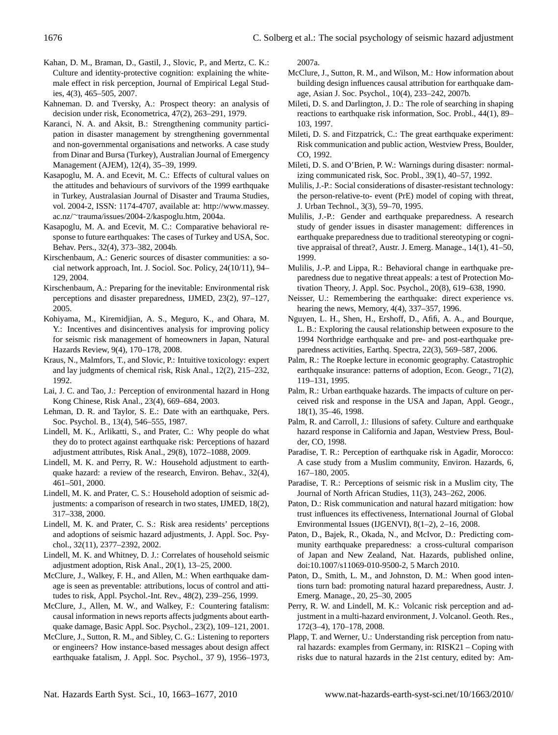- Kahan, D. M., Braman, D., Gastil, J., Slovic, P., and Mertz, C. K.: Culture and identity-protective cognition: explaining the whitemale effect in risk perception, Journal of Empirical Legal Studies, 4(3), 465–505, 2007.
- Kahneman. D. and Tversky, A.: Prospect theory: an analysis of decision under risk, Econometrica, 47(2), 263–291, 1979.
- Karanci, N. A. and Aksit, B.: Strengthening community participation in disaster management by strengthening governmental and non-governmental organisations and networks. A case study from Dinar and Bursa (Turkey), Australian Journal of Emergency Management (AJEM), 12(4), 35–39, 1999.
- Kasapoglu, M. A. and Ecevit, M. C.: Effects of cultural values on the attitudes and behaviours of survivors of the 1999 earthquake in Turkey, Australasian Journal of Disaster and Trauma Studies, vol. 2004-2, ISSN: 1174-4707, available at: [http://www.massey.](http://www.massey.ac.nz/~trauma/issues/2004-2/kaspoglu.htm) ac.nz/∼[trauma/issues/2004-2/kaspoglu.htm,](http://www.massey.ac.nz/~trauma/issues/2004-2/kaspoglu.htm) 2004a.
- Kasapoglu, M. A. and Ecevit, M. C.: Comparative behavioral response to future earthquakes: The cases of Turkey and USA, Soc. Behav. Pers., 32(4), 373–382, 2004b.
- Kirschenbaum, A.: Generic sources of disaster communities: a social network approach, Int. J. Sociol. Soc. Policy, 24(10/11), 94– 129, 2004.
- Kirschenbaum, A.: Preparing for the inevitable: Environmental risk perceptions and disaster preparedness, IJMED, 23(2), 97–127, 2005.
- Kohiyama, M., Kiremidjian, A. S., Meguro, K., and Ohara, M. Y.: Incentives and disincentives analysis for improving policy for seismic risk management of homeowners in Japan, Natural Hazards Review, 9(4), 170–178, 2008.
- Kraus, N., Malmfors, T., and Slovic, P.: Intuitive toxicology: expert and lay judgments of chemical risk, Risk Anal., 12(2), 215–232, 1992.
- Lai, J. C. and Tao, J.: Perception of environmental hazard in Hong Kong Chinese, Risk Anal., 23(4), 669–684, 2003.
- Lehman, D. R. and Taylor, S. E.: Date with an earthquake, Pers. Soc. Psychol. B., 13(4), 546–555, 1987.
- Lindell, M. K., Arlikatti, S., and Prater, C.: Why people do what they do to protect against earthquake risk: Perceptions of hazard adjustment attributes, Risk Anal., 29(8), 1072–1088, 2009.
- Lindell, M. K. and Perry, R. W.: Household adjustment to earthquake hazard: a review of the research, Environ. Behav., 32(4), 461–501, 2000.
- Lindell, M. K. and Prater, C. S.: Household adoption of seismic adjustments: a comparison of research in two states, IJMED, 18(2), 317–338, 2000.
- Lindell, M. K. and Prater, C. S.: Risk area residents' perceptions and adoptions of seismic hazard adjustments, J. Appl. Soc. Psychol., 32(11), 2377–2392, 2002.
- Lindell, M. K. and Whitney, D. J.: Correlates of household seismic adjustment adoption, Risk Anal., 20(1), 13–25, 2000.
- McClure, J., Walkey, F. H., and Allen, M.: When earthquake damage is seen as preventable: attributions, locus of control and attitudes to risk, Appl. Psychol.-Int. Rev., 48(2), 239–256, 1999.
- McClure, J., Allen, M. W., and Walkey, F.: Countering fatalism: causal information in news reports affects judgments about earthquake damage, Basic Appl. Soc. Psychol., 23(2), 109–121, 2001.
- McClure, J., Sutton, R. M., and Sibley, C. G.: Listening to reporters or engineers? How instance-based messages about design affect earthquake fatalism, J. Appl. Soc. Psychol., 37 9), 1956–1973,

2007a.

- McClure, J., Sutton, R. M., and Wilson, M.: How information about building design influences causal attribution for earthquake damage, Asian J. Soc. Psychol., 10(4), 233–242, 2007b.
- Mileti, D. S. and Darlington, J. D.: The role of searching in shaping reactions to earthquake risk information, Soc. Probl., 44(1), 89– 103, 1997.
- Mileti, D. S. and Fitzpatrick, C.: The great earthquake experiment: Risk communication and public action, Westview Press, Boulder, CO, 1992.
- Mileti, D. S. and O'Brien, P. W.: Warnings during disaster: normalizing communicated risk, Soc. Probl., 39(1), 40–57, 1992.
- Mulilis, J.-P.: Social considerations of disaster-resistant technology: the person-relative-to- event (PrE) model of coping with threat, J. Urban Technol., 3(3), 59–70, 1995.
- Mulilis, J.-P.: Gender and earthquake preparedness. A research study of gender issues in disaster management: differences in earthquake preparedness due to traditional stereotyping or cognitive appraisal of threat?, Austr. J. Emerg. Manage., 14(1), 41–50, 1999.
- Mulilis, J.-P. and Lippa, R.: Behavioral change in earthquake preparedness due to negative threat appeals: a test of Protection Motivation Theory, J. Appl. Soc. Psychol., 20(8), 619–638, 1990.
- Neisser, U.: Remembering the earthquake: direct experience vs. hearing the news, Memory, 4(4), 337–357, 1996.
- Nguyen, L. H., Shen, H., Ershoff, D., Afifi, A. A., and Bourque, L. B.: Exploring the causal relationship between exposure to the 1994 Northridge earthquake and pre- and post-earthquake preparedness activities, Earthq. Spectra, 22(3), 569–587, 2006.
- Palm, R.: The Roepke lecture in economic geography. Catastrophic earthquake insurance: patterns of adoption, Econ. Geogr., 71(2), 119–131, 1995.
- Palm, R.: Urban earthquake hazards. The impacts of culture on perceived risk and response in the USA and Japan, Appl. Geogr., 18(1), 35–46, 1998.
- Palm, R. and Carroll, J.: Illusions of safety. Culture and earthquake hazard response in California and Japan, Westview Press, Boulder, CO, 1998.
- Paradise, T. R.: Perception of earthquake risk in Agadir, Morocco: A case study from a Muslim community, Environ. Hazards, 6, 167–180, 2005.
- Paradise, T. R.: Perceptions of seismic risk in a Muslim city, The Journal of North African Studies, 11(3), 243–262, 2006.
- Paton, D.: Risk communication and natural hazard mitigation: how trust influences its effectiveness, International Journal of Global Environmental Issues (IJGENVI), 8(1–2), 2–16, 2008.
- Paton, D., Bajek, R., Okada, N., and McIvor, D.: Predicting community earthquake preparedness: a cross-cultural comparison of Japan and New Zealand, Nat. Hazards, published online, doi:10.1007/s11069-010-9500-2, 5 March 2010.
- Paton, D., Smith, L. M., and Johnston, D. M.: When good intentions turn bad: promoting natural hazard preparedness, Austr. J. Emerg. Manage., 20, 25–30, 2005
- Perry, R. W. and Lindell, M. K.: Volcanic risk perception and adjustment in a multi-hazard environment, J. Volcanol. Geoth. Res., 172(3–4), 170–178, 2008.
- Plapp, T. and Werner, U.: Understanding risk perception from natural hazards: examples from Germany, in: RISK21 – Coping with risks due to natural hazards in the 21st century, edited by: Am-